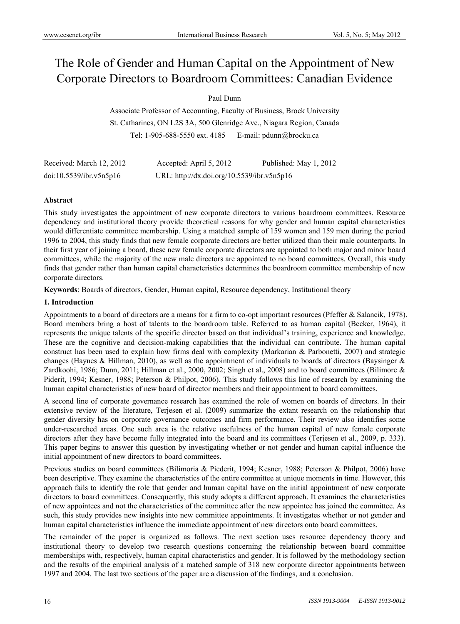# The Role of Gender and Human Capital on the Appointment of New Corporate Directors to Boardroom Committees: Canadian Evidence

# Paul Dunn

Associate Professor of Accounting, Faculty of Business, Brock University St. Catharines, ON L2S 3A, 500 Glenridge Ave., Niagara Region, Canada Tel: 1-905-688-5550 ext. 4185 E-mail: pdunn@brocku.ca

| Received: March 12, 2012 | Accepted: April 5, 2012                    | Published: May 1, 2012 |
|--------------------------|--------------------------------------------|------------------------|
| doi:10.5539/ibr.v5n5p16  | URL: http://dx.doi.org/10.5539/ibr.v5n5p16 |                        |

## **Abstract**

This study investigates the appointment of new corporate directors to various boardroom committees. Resource dependency and institutional theory provide theoretical reasons for why gender and human capital characteristics would differentiate committee membership. Using a matched sample of 159 women and 159 men during the period 1996 to 2004, this study finds that new female corporate directors are better utilized than their male counterparts. In their first year of joining a board, these new female corporate directors are appointed to both major and minor board committees, while the majority of the new male directors are appointed to no board committees. Overall, this study finds that gender rather than human capital characteristics determines the boardroom committee membership of new corporate directors.

**Keywords**: Boards of directors, Gender, Human capital, Resource dependency, Institutional theory

## **1. Introduction**

Appointments to a board of directors are a means for a firm to co-opt important resources (Pfeffer & Salancik, 1978). Board members bring a host of talents to the boardroom table. Referred to as human capital (Becker, 1964), it represents the unique talents of the specific director based on that individual's training, experience and knowledge. These are the cognitive and decision-making capabilities that the individual can contribute. The human capital construct has been used to explain how firms deal with complexity (Markarian & Parbonetti, 2007) and strategic changes (Haynes & Hillman, 2010), as well as the appointment of individuals to boards of directors (Baysinger & Zardkoohi, 1986; Dunn, 2011; Hillman et al., 2000, 2002; Singh et al., 2008) and to board committees (Bilimore & Piderit, 1994; Kesner, 1988; Peterson & Philpot, 2006). This study follows this line of research by examining the human capital characteristics of new board of director members and their appointment to board committees.

A second line of corporate governance research has examined the role of women on boards of directors. In their extensive review of the literature, Terjesen et al. (2009) summarize the extant research on the relationship that gender diversity has on corporate governance outcomes and firm performance. Their review also identifies some under-researched areas. One such area is the relative usefulness of the human capital of new female corporate directors after they have become fully integrated into the board and its committees (Terjesen et al., 2009, p. 333). This paper begins to answer this question by investigating whether or not gender and human capital influence the initial appointment of new directors to board committees.

Previous studies on board committees (Bilimoria & Piederit, 1994; Kesner, 1988; Peterson & Philpot, 2006) have been descriptive. They examine the characteristics of the entire committee at unique moments in time. However, this approach fails to identify the role that gender and human capital have on the initial appointment of new corporate directors to board committees. Consequently, this study adopts a different approach. It examines the characteristics of new appointees and not the characteristics of the committee after the new appointee has joined the committee. As such, this study provides new insights into new committee appointments. It investigates whether or not gender and human capital characteristics influence the immediate appointment of new directors onto board committees.

The remainder of the paper is organized as follows. The next section uses resource dependency theory and institutional theory to develop two research questions concerning the relationship between board committee memberships with, respectively, human capital characteristics and gender. It is followed by the methodology section and the results of the empirical analysis of a matched sample of 318 new corporate director appointments between 1997 and 2004. The last two sections of the paper are a discussion of the findings, and a conclusion.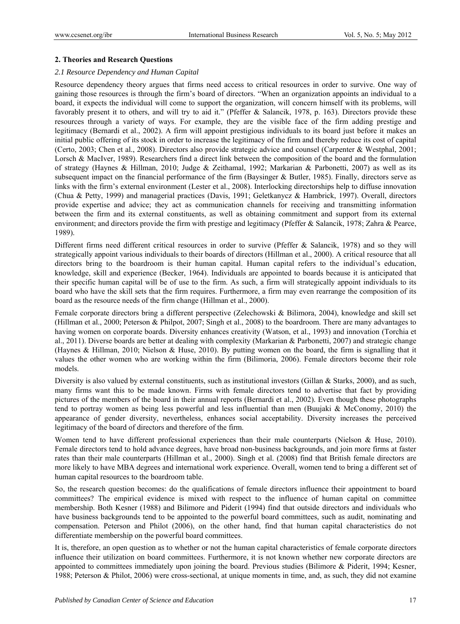# **2. Theories and Research Questions**

# *2.1 Resource Dependency and Human Capital*

Resource dependency theory argues that firms need access to critical resources in order to survive. One way of gaining those resources is through the firm's board of directors. "When an organization appoints an individual to a board, it expects the individual will come to support the organization, will concern himself with its problems, will favorably present it to others, and will try to aid it." (Pfeffer & Salancik, 1978, p. 163). Directors provide these resources through a variety of ways. For example, they are the visible face of the firm adding prestige and legitimacy (Bernardi et al., 2002). A firm will appoint prestigious individuals to its board just before it makes an initial public offering of its stock in order to increase the legitimacy of the firm and thereby reduce its cost of capital (Certo, 2003; Chen et al., 2008). Directors also provide strategic advice and counsel (Carpenter & Westphal, 2001; Lorsch & MacIver, 1989). Researchers find a direct link between the composition of the board and the formulation of strategy (Haynes & Hillman, 2010; Judge & Zeithamal, 1992; Markarian & Parbonetti, 2007) as well as its subsequent impact on the financial performance of the firm (Baysinger & Butler, 1985). Finally, directors serve as links with the firm's external environment (Lester et al., 2008). Interlocking directorships help to diffuse innovation (Chua & Petty, 1999) and managerial practices (Davis, 1991; Geletkanycz & Hambrick, 1997). Overall, directors provide expertise and advice; they act as communication channels for receiving and transmitting information between the firm and its external constituents, as well as obtaining commitment and support from its external environment; and directors provide the firm with prestige and legitimacy (Pfeffer & Salancik, 1978; Zahra & Pearce, 1989).

Different firms need different critical resources in order to survive (Pfeffer & Salancik, 1978) and so they will strategically appoint various individuals to their boards of directors (Hillman et al., 2000). A critical resource that all directors bring to the boardroom is their human capital. Human capital refers to the individual's education, knowledge, skill and experience (Becker, 1964). Individuals are appointed to boards because it is anticipated that their specific human capital will be of use to the firm. As such, a firm will strategically appoint individuals to its board who have the skill sets that the firm requires. Furthermore, a firm may even rearrange the composition of its board as the resource needs of the firm change (Hillman et al., 2000).

Female corporate directors bring a different perspective (Zelechowski & Bilimora, 2004), knowledge and skill set (Hillman et al., 2000; Peterson & Philpot, 2007; Singh et al., 2008) to the boardroom. There are many advantages to having women on corporate boards. Diversity enhances creativity (Watson, et al., 1993) and innovation (Torchia et al., 2011). Diverse boards are better at dealing with complexity (Markarian & Parbonetti, 2007) and strategic change (Haynes & Hillman, 2010; Nielson & Huse, 2010). By putting women on the board, the firm is signalling that it values the other women who are working within the firm (Bilimoria, 2006). Female directors become their role models.

Diversity is also valued by external constituents, such as institutional investors (Gillan & Starks, 2000), and as such, many firms want this to be made known. Firms with female directors tend to advertise that fact by providing pictures of the members of the board in their annual reports (Bernardi et al., 2002). Even though these photographs tend to portray women as being less powerful and less influential than men (Buujaki & McConomy, 2010) the appearance of gender diversity, nevertheless, enhances social acceptability. Diversity increases the perceived legitimacy of the board of directors and therefore of the firm.

Women tend to have different professional experiences than their male counterparts (Nielson & Huse, 2010). Female directors tend to hold advance degrees, have broad non-business backgrounds, and join more firms at faster rates than their male counterparts (Hillman et al., 2000). Singh et al. (2008) find that British female directors are more likely to have MBA degrees and international work experience. Overall, women tend to bring a different set of human capital resources to the boardroom table.

So, the research question becomes: do the qualifications of female directors influence their appointment to board committees? The empirical evidence is mixed with respect to the influence of human capital on committee membership. Both Kesner (1988) and Bilimore and Piderit (1994) find that outside directors and individuals who have business backgrounds tend to be appointed to the powerful board committees, such as audit, nominating and compensation. Peterson and Philot (2006), on the other hand, find that human capital characteristics do not differentiate membership on the powerful board committees.

It is, therefore, an open question as to whether or not the human capital characteristics of female corporate directors influence their utilization on board committees. Furthermore, it is not known whether new corporate directors are appointed to committees immediately upon joining the board. Previous studies (Bilimore & Piderit, 1994; Kesner, 1988; Peterson & Philot, 2006) were cross-sectional, at unique moments in time, and, as such, they did not examine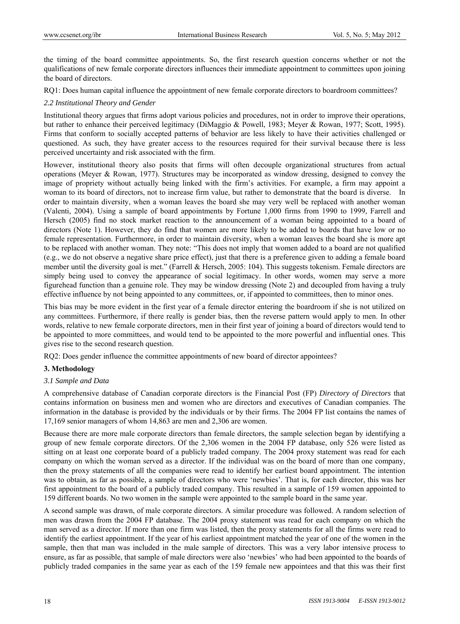the timing of the board committee appointments. So, the first research question concerns whether or not the qualifications of new female corporate directors influences their immediate appointment to committees upon joining the board of directors.

RQ1: Does human capital influence the appointment of new female corporate directors to boardroom committees?

## *2.2 Institutional Theory and Gender*

Institutional theory argues that firms adopt various policies and procedures, not in order to improve their operations, but rather to enhance their perceived legitimacy (DiMaggio & Powell, 1983; Meyer & Rowan, 1977; Scott, 1995). Firms that conform to socially accepted patterns of behavior are less likely to have their activities challenged or questioned. As such, they have greater access to the resources required for their survival because there is less perceived uncertainty and risk associated with the firm.

However, institutional theory also posits that firms will often decouple organizational structures from actual operations (Meyer & Rowan, 1977). Structures may be incorporated as window dressing, designed to convey the image of propriety without actually being linked with the firm's activities. For example, a firm may appoint a woman to its board of directors, not to increase firm value, but rather to demonstrate that the board is diverse. In order to maintain diversity, when a woman leaves the board she may very well be replaced with another woman (Valenti, 2004). Using a sample of board appointments by Fortune 1,000 firms from 1990 to 1999, Farrell and Hersch (2005) find no stock market reaction to the announcement of a woman being appointed to a board of directors (Note 1). However, they do find that women are more likely to be added to boards that have low or no female representation. Furthermore, in order to maintain diversity, when a woman leaves the board she is more apt to be replaced with another woman. They note: "This does not imply that women added to a board are not qualified (e.g., we do not observe a negative share price effect), just that there is a preference given to adding a female board member until the diversity goal is met." (Farrell & Hersch, 2005: 104). This suggests tokenism. Female directors are simply being used to convey the appearance of social legitimacy. In other words, women may serve a more figurehead function than a genuine role. They may be window dressing (Note 2) and decoupled from having a truly effective influence by not being appointed to any committees, or, if appointed to committees, then to minor ones.

This bias may be more evident in the first year of a female director entering the boardroom if she is not utilized on any committees. Furthermore, if there really is gender bias, then the reverse pattern would apply to men. In other words, relative to new female corporate directors, men in their first year of joining a board of directors would tend to be appointed to more committees, and would tend to be appointed to the more powerful and influential ones. This gives rise to the second research question.

RQ2: Does gender influence the committee appointments of new board of director appointees?

## **3. Methodology**

## *3.1 Sample and Data*

A comprehensive database of Canadian corporate directors is the Financial Post (FP) *Directory of Directors* that contains information on business men and women who are directors and executives of Canadian companies. The information in the database is provided by the individuals or by their firms. The 2004 FP list contains the names of 17,169 senior managers of whom 14,863 are men and 2,306 are women.

Because there are more male corporate directors than female directors, the sample selection began by identifying a group of new female corporate directors. Of the 2,306 women in the 2004 FP database, only 526 were listed as sitting on at least one corporate board of a publicly traded company. The 2004 proxy statement was read for each company on which the woman served as a director. If the individual was on the board of more than one company, then the proxy statements of all the companies were read to identify her earliest board appointment. The intention was to obtain, as far as possible, a sample of directors who were 'newbies'. That is, for each director, this was her first appointment to the board of a publicly traded company. This resulted in a sample of 159 women appointed to 159 different boards. No two women in the sample were appointed to the sample board in the same year.

A second sample was drawn, of male corporate directors. A similar procedure was followed. A random selection of men was drawn from the 2004 FP database. The 2004 proxy statement was read for each company on which the man served as a director. If more than one firm was listed, then the proxy statements for all the firms were read to identify the earliest appointment. If the year of his earliest appointment matched the year of one of the women in the sample, then that man was included in the male sample of directors. This was a very labor intensive process to ensure, as far as possible, that sample of male directors were also 'newbies' who had been appointed to the boards of publicly traded companies in the same year as each of the 159 female new appointees and that this was their first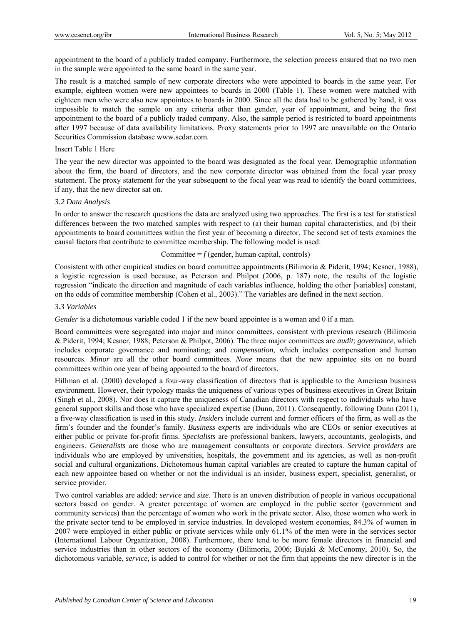appointment to the board of a publicly traded company. Furthermore, the selection process ensured that no two men in the sample were appointed to the same board in the same year.

The result is a matched sample of new corporate directors who were appointed to boards in the same year. For example, eighteen women were new appointees to boards in 2000 (Table 1). These women were matched with eighteen men who were also new appointees to boards in 2000. Since all the data had to be gathered by hand, it was impossible to match the sample on any criteria other than gender, year of appointment, and being the first appointment to the board of a publicly traded company. Also, the sample period is restricted to board appointments after 1997 because of data availability limitations. Proxy statements prior to 1997 are unavailable on the Ontario Securities Commission database www.sedar.com.

## Insert Table 1 Here

The year the new director was appointed to the board was designated as the focal year. Demographic information about the firm, the board of directors, and the new corporate director was obtained from the focal year proxy statement. The proxy statement for the year subsequent to the focal year was read to identify the board committees, if any, that the new director sat on.

#### *3.2 Data Analysis*

In order to answer the research questions the data are analyzed using two approaches. The first is a test for statistical differences between the two matched samples with respect to (a) their human capital characteristics, and (b) their appointments to board committees within the first year of becoming a director. The second set of tests examines the causal factors that contribute to committee membership. The following model is used:

## Committee  $=f$  (gender, human capital, controls)

Consistent with other empirical studies on board committee appointments (Bilimoria & Piderit, 1994; Kesner, 1988), a logistic regression is used because, as Peterson and Philpot (2006, p. 187) note, the results of the logistic regression "indicate the direction and magnitude of each variables influence, holding the other [variables] constant, on the odds of committee membership (Cohen et al., 2003)." The variables are defined in the next section.

# *3.3 Variables*

*Gender* is a dichotomous variable coded 1 if the new board appointee is a woman and 0 if a man.

Board committees were segregated into major and minor committees, consistent with previous research (Bilimoria & Piderit, 1994; Kesner, 1988; Peterson & Philpot, 2006). The three major committees are *audit*; *governance*, which includes corporate governance and nominating; and *compensation*, which includes compensation and human resources. *Minor* are all the other board committees. *None* means that the new appointee sits on no board committees within one year of being appointed to the board of directors.

Hillman et al. (2000) developed a four-way classification of directors that is applicable to the American business environment. However, their typology masks the uniqueness of various types of business executives in Great Britain (Singh et al., 2008). Nor does it capture the uniqueness of Canadian directors with respect to individuals who have general support skills and those who have specialized expertise (Dunn, 2011). Consequently, following Dunn (2011), a five-way classification is used in this study. *Insiders* include current and former officers of the firm, as well as the firm's founder and the founder's family. *Business experts* are individuals who are CEOs or senior executives at either public or private for-profit firms. *Specialists* are professional bankers, lawyers, accountants, geologists, and engineers. *Generalists* are those who are management consultants or corporate directors. *Service providers* are individuals who are employed by universities, hospitals, the government and its agencies, as well as non-profit social and cultural organizations. Dichotomous human capital variables are created to capture the human capital of each new appointee based on whether or not the individual is an insider, business expert, specialist, generalist, or service provider.

Two control variables are added: *service* and *size*. There is an uneven distribution of people in various occupational sectors based on gender. A greater percentage of women are employed in the public sector (government and community services) than the percentage of women who work in the private sector. Also, those women who work in the private sector tend to be employed in service industries. In developed western economies, 84.3% of women in 2007 were employed in either public or private services while only 61.1% of the men were in the services sector (International Labour Organization, 2008). Furthermore, there tend to be more female directors in financial and service industries than in other sectors of the economy (Bilimoria, 2006; Bujaki & McConomy, 2010). So, the dichotomous variable, *service,* is added to control for whether or not the firm that appoints the new director is in the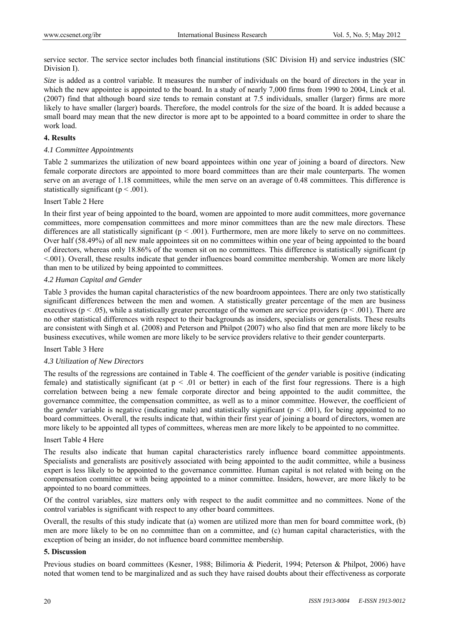service sector. The service sector includes both financial institutions (SIC Division H) and service industries (SIC Division I).

*Size* is added as a control variable. It measures the number of individuals on the board of directors in the year in which the new appointee is appointed to the board. In a study of nearly 7,000 firms from 1990 to 2004, Linck et al. (2007) find that although board size tends to remain constant at 7.5 individuals, smaller (larger) firms are more likely to have smaller (larger) boards. Therefore, the model controls for the size of the board. It is added because a small board may mean that the new director is more apt to be appointed to a board committee in order to share the work load.

## **4. Results**

#### *4.1 Committee Appointments*

Table 2 summarizes the utilization of new board appointees within one year of joining a board of directors. New female corporate directors are appointed to more board committees than are their male counterparts. The women serve on an average of 1.18 committees, while the men serve on an average of 0.48 committees. This difference is statistically significant ( $p < .001$ ).

#### Insert Table 2 Here

In their first year of being appointed to the board, women are appointed to more audit committees, more governance committees, more compensation committees and more minor committees than are the new male directors. These differences are all statistically significant ( $p < .001$ ). Furthermore, men are more likely to serve on no committees. Over half (58.49%) of all new male appointees sit on no committees within one year of being appointed to the board of directors, whereas only 18.86% of the women sit on no committees. This difference is statistically significant (p <.001). Overall, these results indicate that gender influences board committee membership. Women are more likely than men to be utilized by being appointed to committees.

#### *4.2 Human Capital and Gender*

Table 3 provides the human capital characteristics of the new boardroom appointees. There are only two statistically significant differences between the men and women. A statistically greater percentage of the men are business executives ( $p < .05$ ), while a statistically greater percentage of the women are service providers ( $p < .001$ ). There are no other statistical differences with respect to their backgrounds as insiders, specialists or generalists. These results are consistent with Singh et al. (2008) and Peterson and Philpot (2007) who also find that men are more likely to be business executives, while women are more likely to be service providers relative to their gender counterparts.

#### Insert Table 3 Here

#### *4.3 Utilization of New Directors*

The results of the regressions are contained in Table 4. The coefficient of the *gender* variable is positive (indicating female) and statistically significant (at  $p < 0.01$  or better) in each of the first four regressions. There is a high correlation between being a new female corporate director and being appointed to the audit committee, the governance committee, the compensation committee, as well as to a minor committee. However, the coefficient of the *gender* variable is negative (indicating male) and statistically significant ( $p < .001$ ), for being appointed to no board committees. Overall, the results indicate that, within their first year of joining a board of directors, women are more likely to be appointed all types of committees, whereas men are more likely to be appointed to no committee.

#### Insert Table 4 Here

The results also indicate that human capital characteristics rarely influence board committee appointments. Specialists and generalists are positively associated with being appointed to the audit committee, while a business expert is less likely to be appointed to the governance committee. Human capital is not related with being on the compensation committee or with being appointed to a minor committee. Insiders, however, are more likely to be appointed to no board committees.

Of the control variables, size matters only with respect to the audit committee and no committees. None of the control variables is significant with respect to any other board committees.

Overall, the results of this study indicate that (a) women are utilized more than men for board committee work, (b) men are more likely to be on no committee than on a committee, and (c) human capital characteristics, with the exception of being an insider, do not influence board committee membership.

# **5. Discussion**

Previous studies on board committees (Kesner, 1988; Bilimoria & Piederit, 1994; Peterson & Philpot, 2006) have noted that women tend to be marginalized and as such they have raised doubts about their effectiveness as corporate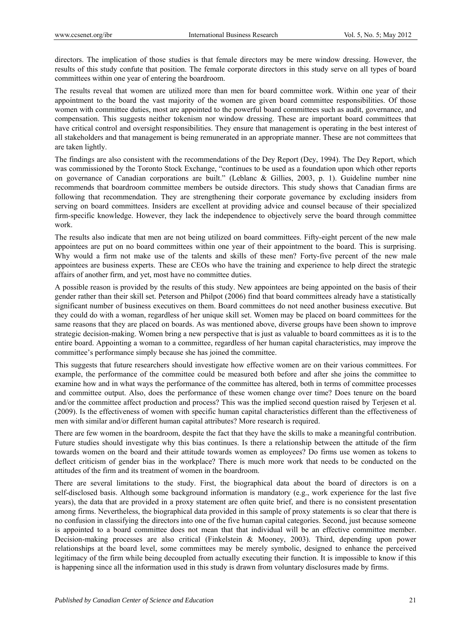directors. The implication of those studies is that female directors may be mere window dressing. However, the results of this study confute that position. The female corporate directors in this study serve on all types of board committees within one year of entering the boardroom.

The results reveal that women are utilized more than men for board committee work. Within one year of their appointment to the board the vast majority of the women are given board committee responsibilities. Of those women with committee duties, most are appointed to the powerful board committees such as audit, governance, and compensation. This suggests neither tokenism nor window dressing. These are important board committees that have critical control and oversight responsibilities. They ensure that management is operating in the best interest of all stakeholders and that management is being remunerated in an appropriate manner. These are not committees that are taken lightly.

The findings are also consistent with the recommendations of the Dey Report (Dey, 1994). The Dey Report, which was commissioned by the Toronto Stock Exchange, "continues to be used as a foundation upon which other reports on governance of Canadian corporations are built." (Leblanc & Gillies, 2003, p. 1). Guideline number nine recommends that boardroom committee members be outside directors. This study shows that Canadian firms are following that recommendation. They are strengthening their corporate governance by excluding insiders from serving on board committees. Insiders are excellent at providing advice and counsel because of their specialized firm-specific knowledge. However, they lack the independence to objectively serve the board through committee work.

The results also indicate that men are not being utilized on board committees. Fifty-eight percent of the new male appointees are put on no board committees within one year of their appointment to the board. This is surprising. Why would a firm not make use of the talents and skills of these men? Forty-five percent of the new male appointees are business experts. These are CEOs who have the training and experience to help direct the strategic affairs of another firm, and yet, most have no committee duties.

A possible reason is provided by the results of this study. New appointees are being appointed on the basis of their gender rather than their skill set. Peterson and Philpot (2006) find that board committees already have a statistically significant number of business executives on them. Board committees do not need another business executive. But they could do with a woman, regardless of her unique skill set. Women may be placed on board committees for the same reasons that they are placed on boards. As was mentioned above, diverse groups have been shown to improve strategic decision-making. Women bring a new perspective that is just as valuable to board committees as it is to the entire board. Appointing a woman to a committee, regardless of her human capital characteristics, may improve the committee's performance simply because she has joined the committee.

This suggests that future researchers should investigate how effective women are on their various committees. For example, the performance of the committee could be measured both before and after she joins the committee to examine how and in what ways the performance of the committee has altered, both in terms of committee processes and committee output. Also, does the performance of these women change over time? Does tenure on the board and/or the committee affect production and process? This was the implied second question raised by Terjesen et al. (2009). Is the effectiveness of women with specific human capital characteristics different than the effectiveness of men with similar and/or different human capital attributes? More research is required.

There are few women in the boardroom, despite the fact that they have the skills to make a meaningful contribution. Future studies should investigate why this bias continues. Is there a relationship between the attitude of the firm towards women on the board and their attitude towards women as employees? Do firms use women as tokens to deflect criticism of gender bias in the workplace? There is much more work that needs to be conducted on the attitudes of the firm and its treatment of women in the boardroom.

There are several limitations to the study. First, the biographical data about the board of directors is on a self-disclosed basis. Although some background information is mandatory (e.g., work experience for the last five years), the data that are provided in a proxy statement are often quite brief, and there is no consistent presentation among firms. Nevertheless, the biographical data provided in this sample of proxy statements is so clear that there is no confusion in classifying the directors into one of the five human capital categories. Second, just because someone is appointed to a board committee does not mean that that individual will be an effective committee member. Decision-making processes are also critical (Finkelstein & Mooney, 2003). Third, depending upon power relationships at the board level, some committees may be merely symbolic, designed to enhance the perceived legitimacy of the firm while being decoupled from actually executing their function. It is impossible to know if this is happening since all the information used in this study is drawn from voluntary disclosures made by firms.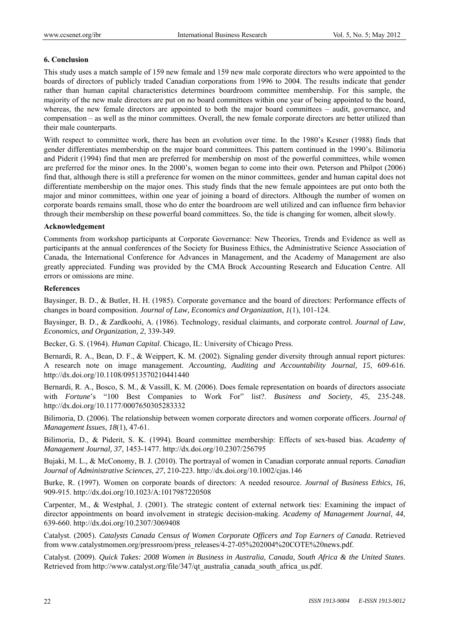## **6. Conclusion**

This study uses a match sample of 159 new female and 159 new male corporate directors who were appointed to the boards of directors of publicly traded Canadian corporations from 1996 to 2004. The results indicate that gender rather than human capital characteristics determines boardroom committee membership. For this sample, the majority of the new male directors are put on no board committees within one year of being appointed to the board, whereas, the new female directors are appointed to both the major board committees – audit, governance, and compensation – as well as the minor committees. Overall, the new female corporate directors are better utilized than their male counterparts.

With respect to committee work, there has been an evolution over time. In the 1980's Kesner (1988) finds that gender differentiates membership on the major board committees. This pattern continued in the 1990's. Bilimoria and Piderit (1994) find that men are preferred for membership on most of the powerful committees, while women are preferred for the minor ones. In the 2000's, women began to come into their own. Peterson and Philpot (2006) find that, although there is still a preference for women on the minor committees, gender and human capital does not differentiate membership on the major ones. This study finds that the new female appointees are put onto both the major and minor committees, within one year of joining a board of directors. Although the number of women on corporate boards remains small, those who do enter the boardroom are well utilized and can influence firm behavior through their membership on these powerful board committees. So, the tide is changing for women, albeit slowly.

#### **Acknowledgement**

Comments from workshop participants at Corporate Governance: New Theories, Trends and Evidence as well as participants at the annual conferences of the Society for Business Ethics, the Administrative Science Association of Canada, the International Conference for Advances in Management, and the Academy of Management are also greatly appreciated. Funding was provided by the CMA Brock Accounting Research and Education Centre. All errors or omissions are mine.

#### **References**

Baysinger, B. D., & Butler, H. H. (1985). Corporate governance and the board of directors: Performance effects of changes in board composition. *Journal of Law, Economics and Organization*, *1*(1), 101-124.

Baysinger, B. D., & Zardkoohi, A. (1986). Technology, residual claimants, and corporate control. *Journal of Law, Economics, and Organization, 2*, 339-349.

Becker, G. S. (1964). *Human Capital*. Chicago, IL: University of Chicago Press.

Bernardi, R. A., Bean, D. F., & Weippert, K. M. (2002). Signaling gender diversity through annual report pictures: A research note on image management. *Accounting, Auditing and Accountability Journal, 15*, 609-616. http://dx.doi.org/10.1108/09513570210441440

Bernardi, R. A., Bosco, S. M., & Vassill, K. M. (2006). Does female representation on boards of directors associate with *Fortune*'s "100 Best Companies to Work For" list?. *Business and Society, 45*, 235-248. http://dx.doi.org/10.1177/0007650305283332

Bilimoria, D. (2006). The relationship between women corporate directors and women corporate officers. *Journal of Management Issues*, *18*(1), 47-61.

Bilimoria, D., & Piderit, S. K. (1994). Board committee membership: Effects of sex-based bias. *Academy of Management Journal, 37*, 1453-1477. http://dx.doi.org/10.2307/256795

Bujaki, M. L., & McConomy, B. J. (2010). The portrayal of women in Canadian corporate annual reports. *Canadian Journal of Administrative Sciences*, *27*, 210-223. http://dx.doi.org/10.1002/cjas.146

Burke, R. (1997). Women on corporate boards of directors: A needed resource. *Journal of Business Ethics, 16*, 909-915. http://dx.doi.org/10.1023/A:1017987220508

Carpenter, M., & Westphal, J. (2001). The strategic content of external network ties: Examining the impact of director appointments on board involvement in strategic decision-making. *Academy of Management Journal, 44*, 639-660. http://dx.doi.org/10.2307/3069408

Catalyst. (2005). *Catalysts Canada Census of Women Corporate Officers and Top Earners of Canada*. Retrieved from www.catalystmomen.org/pressroom/press\_releases/4-27-05%202004%20COTE%20news.pdf.

Catalyst. (2009). *Quick Takes: 2008 Women in Business in Australia, Canada, South Africa & the United States*. Retrieved from http://www.catalyst.org/file/347/qt\_australia\_canada\_south\_africa\_us.pdf.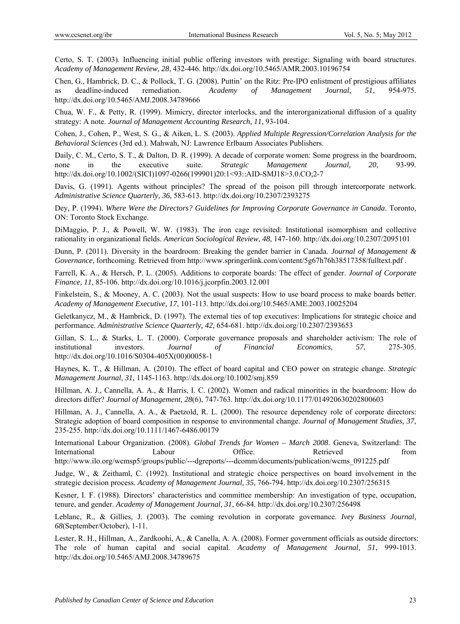Certo, S. T. (2003). Influencing initial public offering investors with prestige: Signaling with board structures. *Academy of Management Review, 28*, 432-446. http://dx.doi.org/10.5465/AMR.2003.10196754

Chen, G., Hambrick, D. C., & Pollock, T. G. (2008). Puttin' on the Ritz: Pre-IPO enlistment of prestigious affiliates as deadline-induced remediation. *Academy of Management Journal, 51*, 954-975. http://dx.doi.org/10.5465/AMJ.2008.34789666

Chua, W. F., & Petty, R. (1999). Mimicry, director interlocks, and the interorganizational diffusion of a quality strategy: A note. *Journal of Management Accounting Research, 11*, 93-104.

Cohen, J., Cohen, P., West, S. G., & Aiken, L. S. (2003). *Applied Multiple Regression/Correlation Analysis for the Behavioral Sciences* (3rd ed.). Mahwah, NJ: Lawrence Erlbaum Associates Publishers.

Daily, C. M., Certo, S. T., & Dalton, D. R. (1999). A decade of corporate women: Some progress in the boardroom, none in the executive suite. *Strategic Management Journal, 20*, 93-99. http://dx.doi.org/10.1002/(SICI)1097-0266(199901)20:1<93::AID-SMJ18>3.0.CO;2-7

Davis, G. (1991). Agents without principles? The spread of the poison pill through intercorporate network. *Administrative Science Quarterly, 36*, 583-613. http://dx.doi.org/10.2307/2393275

Dey, P. (1994). *Where Were the Directors? Guidelines for Improving Corporate Governance in Canada*. Toronto, ON: Toronto Stock Exchange.

DiMaggio, P. J., & Powell, W. W. (1983). The iron cage revisited: Institutional isomorphism and collective rationality in organizational fields. *American Sociological Review, 48*, 147-160. http://dx.doi.org/10.2307/2095101

Dunn, P. (2011). Diversity in the boardroom: Breaking the gender barrier in Canada. *Journal of Management & Governance*, forthcoming. Retrieved from http://www.springerlink.com/content/5g67h76h38517358/fulltext.pdf .

Farrell, K. A., & Hersch, P. L. (2005). Additions to corporate boards: The effect of gender. *Journal of Corporate Finance, 11*, 85-106. http://dx.doi.org/10.1016/j.jcorpfin.2003.12.001

Finkelstein, S., & Mooney, A. C. (2003). Not the usual suspects: How to use board process to make boards better. *Academy of Management Executive, 17*, 101-113. http://dx.doi.org/10.5465/AME.2003.10025204

Geletkanycz, M., & Hambrick, D. (1997). The external ties of top executives: Implications for strategic choice and performance. *Administrative Science Quarterly, 42*, 654-681. http://dx.doi.org/10.2307/2393653

Gillan, S. L., & Starks, L. T. (2000). Corporate governance proposals and shareholder activism: The role of institutional investors. *Journal of Financial Economics*, *57*, 275-305. http://dx.doi.org/10.1016/S0304-405X(00)00058-1

Haynes, K. T., & Hillman, A. (2010). The effect of board capital and CEO power on strategic change. *Strategic Management Journal*, *31*, 1145-1163. http://dx.doi.org/10.1002/smj.859

Hillman, A. J., Cannella, A. A., & Harris, I. C. (2002). Women and radical minorities in the boardroom: How do directors differ? *Journal of Management, 28*(6), 747-763. http://dx.doi.org/10.1177/014920630202800603

Hillman, A. J., Cannella, A. A., & Paetzold, R. L. (2000). The resource dependency role of corporate directors: Strategic adoption of board composition in response to environmental change. *Journal of Management Studies, 37*, 235-255. http://dx.doi.org/10.1111/1467-6486.00179

International Labour Organization. (2008). *Global Trends for Women – March 2008*. Geneva, Switzerland: The International Labour Coffice. Retrieved from

http://www.ilo.org/wcmsp5/groups/public/---dgreports/---dcomm/documents/publication/wcms\_091225.pdf

Judge, W., & Zeithaml, C. (1992). Institutional and strategic choice perspectives on board involvement in the strategic decision process. *Academy of Management Journal, 35*, 766-794. http://dx.doi.org/10.2307/256315

Kesner, I. F. (1988). Directors' characteristics and committee membership: An investigation of type, occupation, tenure, and gender. *Academy of Management Journal, 31*, 66-84. http://dx.doi.org/10.2307/256498

Leblanc, R., & Gillies, J. (2003). The coming revolution in corporate governance. *Ivey Business Journal, 68*(September/October), 1-11.

Lester, R. H., Hillman, A., Zardkoohi, A., & Canella, A. A. (2008). Former government officials as outside directors: The role of human capital and social capital. *Academy of Management Journal, 51*, 999-1013. http://dx.doi.org/10.5465/AMJ.2008.34789675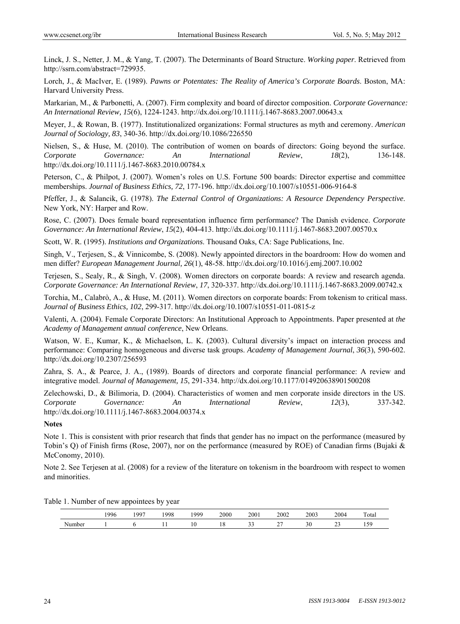Linck, J. S., Netter, J. M., & Yang, T. (2007). The Determinants of Board Structure. *Working paper*. Retrieved from http://ssrn.com/abstract=729935.

Lorch, J., & MacIver, E. (1989). *Pawns or Potentates: The Reality of America's Corporate Boards*. Boston, MA: Harvard University Press.

Markarian, M., & Parbonetti, A. (2007). Firm complexity and board of director composition. *Corporate Governance: An International Review, 15*(6), 1224-1243. http://dx.doi.org/10.1111/j.1467-8683.2007.00643.x

Meyer, J., & Rowan, B. (1977). Institutionalized organizations: Formal structures as myth and ceremony. *American Journal of Sociology, 83*, 340-36. http://dx.doi.org/10.1086/226550

Nielsen, S., & Huse, M. (2010). The contribution of women on boards of directors: Going beyond the surface. *Corporate Governance: An International Review*, *18*(2), 136-148. http://dx.doi.org/10.1111/j.1467-8683.2010.00784.x

Peterson, C., & Philpot, J. (2007). Women's roles on U.S. Fortune 500 boards: Director expertise and committee memberships. *Journal of Business Ethics, 72*, 177-196. http://dx.doi.org/10.1007/s10551-006-9164-8

Pfeffer, J., & Salancik, G. (1978). *The External Control of Organizations: A Resource Dependency Perspective*. New York, NY: Harper and Row.

Rose, C. (2007). Does female board representation influence firm performance? The Danish evidence. *Corporate Governance: An International Review*, *15*(2), 404-413. http://dx.doi.org/10.1111/j.1467-8683.2007.00570.x

Scott, W. R. (1995). *Institutions and Organizations*. Thousand Oaks, CA: Sage Publications, Inc.

Singh, V., Terjesen, S., & Vinnicombe, S. (2008). Newly appointed directors in the boardroom: How do women and men differ? *European Management Journal, 26*(1), 48-58. http://dx.doi.org/10.1016/j.emj.2007.10.002

Terjesen, S., Sealy, R., & Singh, V. (2008). Women directors on corporate boards: A review and research agenda. *Corporate Governance: An International Review*, *17*, 320-337. http://dx.doi.org/10.1111/j.1467-8683.2009.00742.x

Torchia, M., Calabrò, A., & Huse, M. (2011). Women directors on corporate boards: From tokenism to critical mass. *Journal of Business Ethics, 102*, 299-317. http://dx.doi.org/10.1007/s10551-011-0815-z

Valenti, A. (2004). Female Corporate Directors: An Institutional Approach to Appointments. Paper presented at *the Academy of Management annual conference*, New Orleans.

Watson, W. E., Kumar, K., & Michaelson, L. K. (2003). Cultural diversity's impact on interaction process and performance: Comparing homogeneous and diverse task groups. *Academy of Management Journal*, *36*(3), 590-602. http://dx.doi.org/10.2307/256593

Zahra, S. A., & Pearce, J. A., (1989). Boards of directors and corporate financial performance: A review and integrative model. *Journal of Management, 15*, 291-334. http://dx.doi.org/10.1177/014920638901500208

Zelechowski, D., & Bilimoria, D. (2004). Characteristics of women and men corporate inside directors in the US. *Corporate Governance: An International Review*, *12*(3), 337-342. http://dx.doi.org/10.1111/j.1467-8683.2004.00374.x

#### **Notes**

Note 1. This is consistent with prior research that finds that gender has no impact on the performance (measured by Tobin's Q) of Finish firms (Rose, 2007), nor on the performance (measured by ROE) of Canadian firms (Bujaki & McConomy, 2010).

Note 2. See Terjesen at al. (2008) for a review of the literature on tokenism in the boardroom with respect to women and minorities.

|        | 1996 | 007 | 1998 | 1000 | 2000 | 2001     | 2002     | 2003                | 2004               | <b>COLOR</b><br>Fotal |
|--------|------|-----|------|------|------|----------|----------|---------------------|--------------------|-----------------------|
| √umber |      |     |      | 10   | 10   | ^`<br>-- | <u>_</u> | $\sim$ $\sim$<br>υc | $\sim$<br><u>_</u> | $\sim$<br>.           |

Table 1. Number of new appointees by year